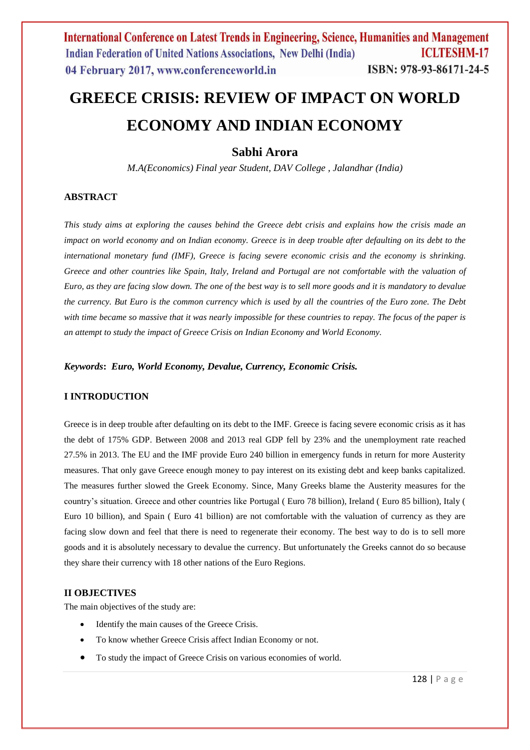# **GREECE CRISIS: REVIEW OF IMPACT ON WORLD ECONOMY AND INDIAN ECONOMY**

**Sabhi Arora**

*M.A(Economics) Final year Student, DAV College , Jalandhar (India)*

# **ABSTRACT**

*This study aims at exploring the causes behind the Greece debt crisis and explains how the crisis made an impact on world economy and on Indian economy. Greece is in deep trouble after defaulting on its debt to the international monetary fund (IMF), Greece is facing severe economic crisis and the economy is shrinking. Greece and other countries like Spain, Italy, Ireland and Portugal are not comfortable with the valuation of Euro, as they are facing slow down. The one of the best way is to sell more goods and it is mandatory to devalue the currency. But Euro is the common currency which is used by all the countries of the Euro zone. The Debt with time became so massive that it was nearly impossible for these countries to repay. The focus of the paper is an attempt to study the impact of Greece Crisis on Indian Economy and World Economy.*

*Keywords***:** *Euro, World Economy, Devalue, Currency, Economic Crisis.*

# **I INTRODUCTION**

Greece is in deep trouble after defaulting on its debt to the IMF. Greece is facing severe economic crisis as it has the debt of 175% GDP. Between 2008 and 2013 real GDP fell by 23% and the unemployment rate reached 27.5% in 2013. The EU and the IMF provide Euro 240 billion in emergency funds in return for more Austerity measures. That only gave Greece enough money to pay interest on its existing debt and keep banks capitalized. The measures further slowed the Greek Economy. Since, Many Greeks blame the Austerity measures for the country's situation. Greece and other countries like Portugal ( Euro 78 billion), Ireland ( Euro 85 billion), Italy ( Euro 10 billion), and Spain ( Euro 41 billion) are not comfortable with the valuation of currency as they are facing slow down and feel that there is need to regenerate their economy. The best way to do is to sell more goods and it is absolutely necessary to devalue the currency. But unfortunately the Greeks cannot do so because they share their currency with 18 other nations of the Euro Regions.

## **II OBJECTIVES**

The main objectives of the study are:

- Identify the main causes of the Greece Crisis.
- To know whether Greece Crisis affect Indian Economy or not.
- To study the impact of Greece Crisis on various economies of world.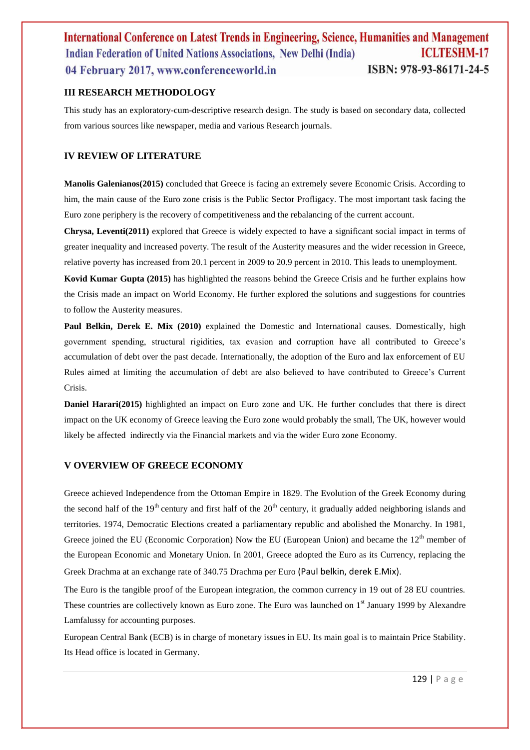# **III RESEARCH METHODOLOGY**

This study has an exploratory-cum-descriptive research design. The study is based on secondary data, collected from various sources like newspaper, media and various Research journals.

# **IV REVIEW OF LITERATURE**

**Manolis Galenianos(2015)** concluded that Greece is facing an extremely severe Economic Crisis. According to him, the main cause of the Euro zone crisis is the Public Sector Profligacy. The most important task facing the Euro zone periphery is the recovery of competitiveness and the rebalancing of the current account.

**Chrysa, Leventi(2011)** explored that Greece is widely expected to have a significant social impact in terms of greater inequality and increased poverty. The result of the Austerity measures and the wider recession in Greece, relative poverty has increased from 20.1 percent in 2009 to 20.9 percent in 2010. This leads to unemployment.

**Kovid Kumar Gupta (2015)** has highlighted the reasons behind the Greece Crisis and he further explains how the Crisis made an impact on World Economy. He further explored the solutions and suggestions for countries to follow the Austerity measures.

Paul Belkin, Derek E. Mix (2010) explained the Domestic and International causes. Domestically, high government spending, structural rigidities, tax evasion and corruption have all contributed to Greece's accumulation of debt over the past decade. Internationally, the adoption of the Euro and lax enforcement of EU Rules aimed at limiting the accumulation of debt are also believed to have contributed to Greece's Current Crisis.

**Daniel Harari(2015)** highlighted an impact on Euro zone and UK. He further concludes that there is direct impact on the UK economy of Greece leaving the Euro zone would probably the small, The UK, however would likely be affected indirectly via the Financial markets and via the wider Euro zone Economy.

#### **V OVERVIEW OF GREECE ECONOMY**

Greece achieved Independence from the Ottoman Empire in 1829. The Evolution of the Greek Economy during the second half of the 19<sup>th</sup> century and first half of the  $20<sup>th</sup>$  century, it gradually added neighboring islands and territories. 1974, Democratic Elections created a parliamentary republic and abolished the Monarchy. In 1981, Greece joined the EU (Economic Corporation) Now the EU (European Union) and became the  $12<sup>th</sup>$  member of the European Economic and Monetary Union. In 2001, Greece adopted the Euro as its Currency, replacing the Greek Drachma at an exchange rate of 340.75 Drachma per Euro (Paul belkin, derek E.Mix).

The Euro is the tangible proof of the European integration, the common currency in 19 out of 28 EU countries. These countries are collectively known as Euro zone. The Euro was launched on 1<sup>st</sup> January 1999 by Alexandre Lamfalussy for accounting purposes.

European Central Bank (ECB) is in charge of monetary issues in EU. Its main goal is to maintain Price Stability. Its Head office is located in Germany.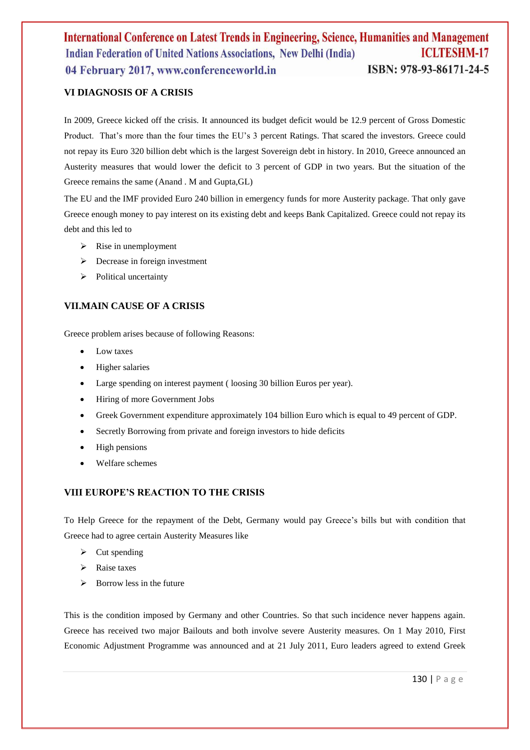# **VI DIAGNOSIS OF A CRISIS**

In 2009, Greece kicked off the crisis. It announced its budget deficit would be 12.9 percent of Gross Domestic Product. That's more than the four times the EU's 3 percent Ratings. That scared the investors. Greece could not repay its Euro 320 billion debt which is the largest Sovereign debt in history. In 2010, Greece announced an Austerity measures that would lower the deficit to 3 percent of GDP in two years. But the situation of the Greece remains the same (Anand . M and Gupta,GL)

The EU and the IMF provided Euro 240 billion in emergency funds for more Austerity package. That only gave Greece enough money to pay interest on its existing debt and keeps Bank Capitalized. Greece could not repay its debt and this led to

- $\triangleright$  Rise in unemployment
- $\triangleright$  Decrease in foreign investment
- $\triangleright$  Political uncertainty

# **VII.MAIN CAUSE OF A CRISIS**

Greece problem arises because of following Reasons:

- Low taxes
- Higher salaries
- Large spending on interest payment ( loosing 30 billion Euros per year).
- Hiring of more Government Jobs
- Greek Government expenditure approximately 104 billion Euro which is equal to 49 percent of GDP.
- Secretly Borrowing from private and foreign investors to hide deficits
- High pensions
- Welfare schemes

# **VIII EUROPE'S REACTION TO THE CRISIS**

To Help Greece for the repayment of the Debt, Germany would pay Greece's bills but with condition that Greece had to agree certain Austerity Measures like

- $\triangleright$  Cut spending
- $\triangleright$  Raise taxes
- $\triangleright$  Borrow less in the future

This is the condition imposed by Germany and other Countries. So that such incidence never happens again. Greece has received two major Bailouts and both involve severe Austerity measures. On 1 May 2010, First Economic Adjustment Programme was announced and at 21 July 2011, Euro leaders agreed to extend Greek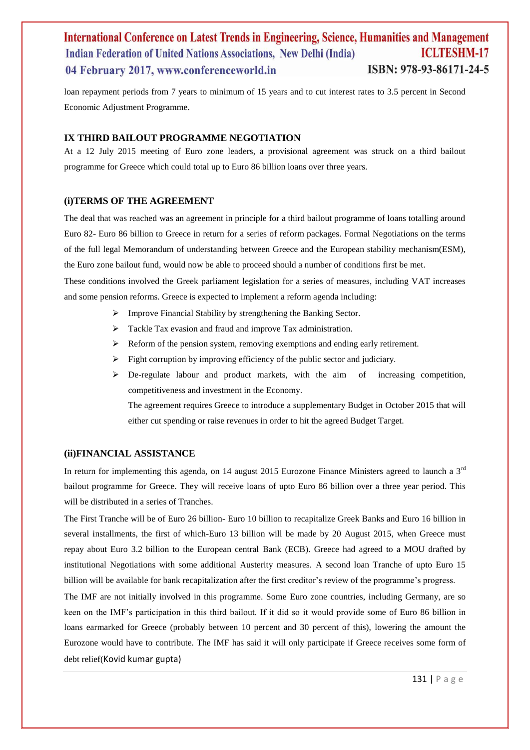loan repayment periods from 7 years to minimum of 15 years and to cut interest rates to 3.5 percent in Second Economic Adjustment Programme.

#### **IX THIRD BAILOUT PROGRAMME NEGOTIATION**

At a 12 July 2015 meeting of Euro zone leaders, a provisional agreement was struck on a third bailout programme for Greece which could total up to Euro 86 billion loans over three years.

#### **(i)TERMS OF THE AGREEMENT**

The deal that was reached was an agreement in principle for a third bailout programme of loans totalling around Euro 82- Euro 86 billion to Greece in return for a series of reform packages. Formal Negotiations on the terms of the full legal Memorandum of understanding between Greece and the European stability mechanism(ESM), the Euro zone bailout fund, would now be able to proceed should a number of conditions first be met.

These conditions involved the Greek parliament legislation for a series of measures, including VAT increases and some pension reforms. Greece is expected to implement a reform agenda including:

- Improve Financial Stability by strengthening the Banking Sector.
- $\triangleright$  Tackle Tax evasion and fraud and improve Tax administration.
- $\triangleright$  Reform of the pension system, removing exemptions and ending early retirement.
- $\triangleright$  Fight corruption by improving efficiency of the public sector and judiciary.
- De-regulate labour and product markets, with the aim of increasing competition, competitiveness and investment in the Economy.

The agreement requires Greece to introduce a supplementary Budget in October 2015 that will either cut spending or raise revenues in order to hit the agreed Budget Target.

# **(ii)FINANCIAL ASSISTANCE**

In return for implementing this agenda, on 14 august 2015 Eurozone Finance Ministers agreed to launch a  $3<sup>rd</sup>$ bailout programme for Greece. They will receive loans of upto Euro 86 billion over a three year period. This will be distributed in a series of Tranches.

The First Tranche will be of Euro 26 billion- Euro 10 billion to recapitalize Greek Banks and Euro 16 billion in several installments, the first of which-Euro 13 billion will be made by 20 August 2015, when Greece must repay about Euro 3.2 billion to the European central Bank (ECB). Greece had agreed to a MOU drafted by institutional Negotiations with some additional Austerity measures. A second loan Tranche of upto Euro 15 billion will be available for bank recapitalization after the first creditor's review of the programme's progress.

The IMF are not initially involved in this programme. Some Euro zone countries, including Germany, are so keen on the IMF's participation in this third bailout. If it did so it would provide some of Euro 86 billion in loans earmarked for Greece (probably between 10 percent and 30 percent of this), lowering the amount the Eurozone would have to contribute. The IMF has said it will only participate if Greece receives some form of debt relief(Kovid kumar gupta)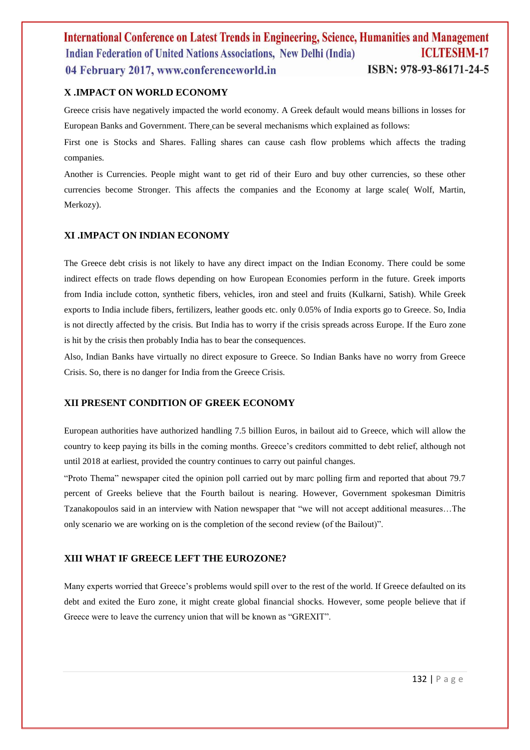# **X .IMPACT ON WORLD ECONOMY**

Greece crisis have negatively impacted the world economy. A Greek default would means billions in losses for European Banks and Government. There can be several mechanisms which explained as follows:

First one is Stocks and Shares. Falling shares can cause cash flow problems which affects the trading companies.

Another is Currencies. People might want to get rid of their Euro and buy other currencies, so these other currencies become Stronger. This affects the companies and the Economy at large scale( Wolf, Martin, Merkozy).

## **XI .IMPACT ON INDIAN ECONOMY**

The Greece debt crisis is not likely to have any direct impact on the Indian Economy. There could be some indirect effects on trade flows depending on how European Economies perform in the future. Greek imports from India include cotton, synthetic fibers, vehicles, iron and steel and fruits (Kulkarni, Satish). While Greek exports to India include fibers, fertilizers, leather goods etc. only 0.05% of India exports go to Greece. So, India is not directly affected by the crisis. But India has to worry if the crisis spreads across Europe. If the Euro zone is hit by the crisis then probably India has to bear the consequences.

Also, Indian Banks have virtually no direct exposure to Greece. So Indian Banks have no worry from Greece Crisis. So, there is no danger for India from the Greece Crisis.

#### **XII PRESENT CONDITION OF GREEK ECONOMY**

European authorities have authorized handling 7.5 billion Euros, in bailout aid to Greece, which will allow the country to keep paying its bills in the coming months. Greece's creditors committed to debt relief, although not until 2018 at earliest, provided the country continues to carry out painful changes.

"Proto Thema" newspaper cited the opinion poll carried out by marc polling firm and reported that about 79.7 percent of Greeks believe that the Fourth bailout is nearing. However, Government spokesman Dimitris Tzanakopoulos said in an interview with Nation newspaper that "we will not accept additional measures…The only scenario we are working on is the completion of the second review (of the Bailout)".

#### **XIII WHAT IF GREECE LEFT THE EUROZONE?**

Many experts worried that Greece's problems would spill over to the rest of the world. If Greece defaulted on its debt and exited the Euro zone, it might create global financial shocks. However, some people believe that if Greece were to leave the currency union that will be known as "GREXIT".